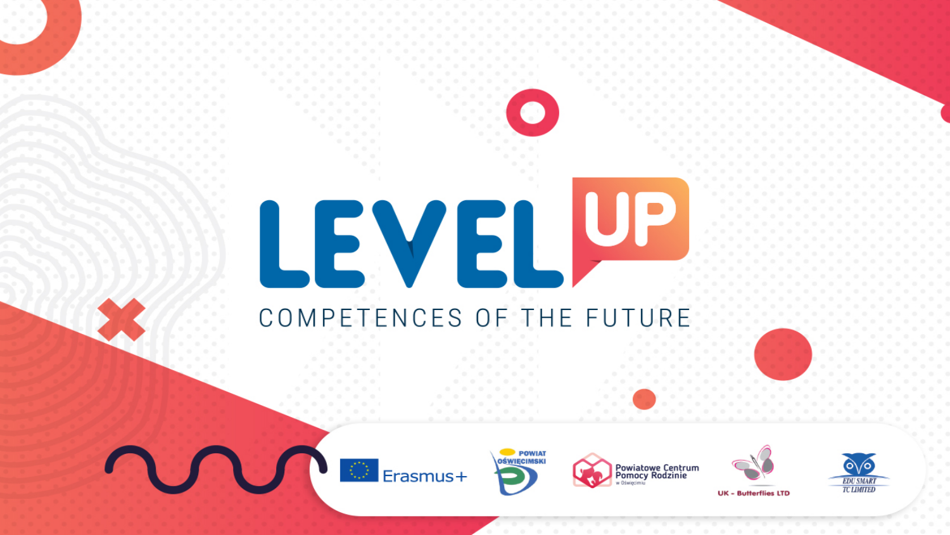# LEVELUE COMPETENCES OF THE FUTURE



U.









**UK - Butterflies LTD**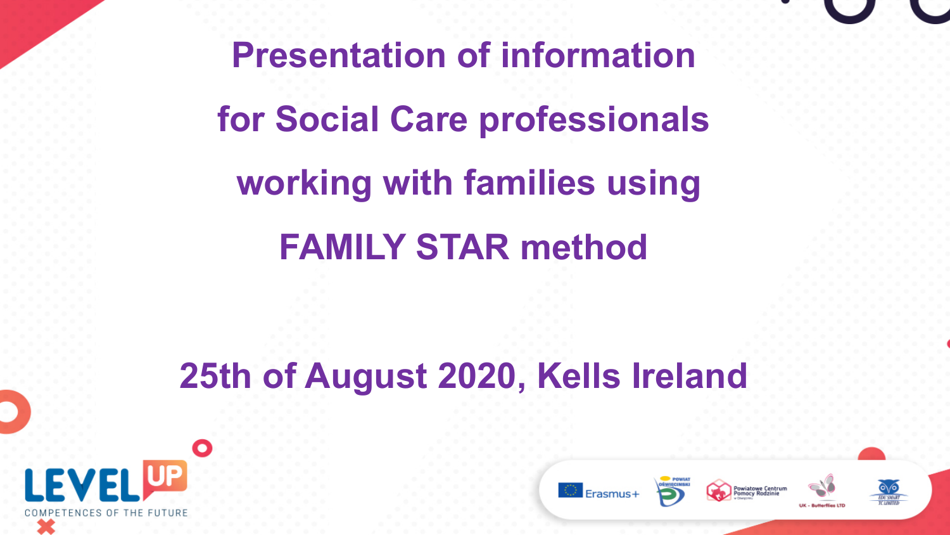**Presentation of information for Social Care professionals working with families using FAMILY STAR method**

## **25th of August 2020, Kells Ireland**



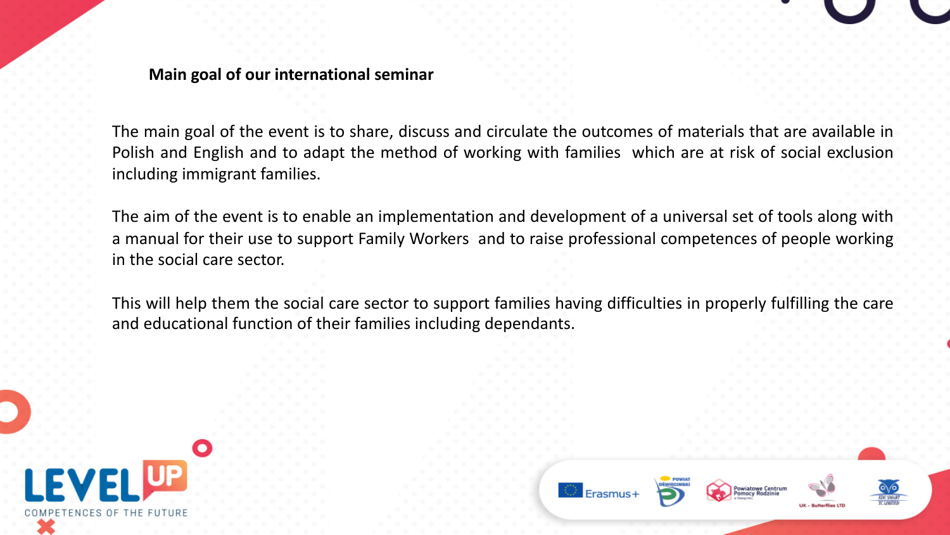**Main goal of our international seminar** 

The main goal of the event is to share, discuss and circulate the outcomes of materials that are available in Polish and English and to adapt the method of working with families which are at risk of social exclusion including immigrant families.

The aim of the event is to enable an implementation and development of a universal set of tools along with a manual for their use to support Family Workers and to raise professional competences of people working in the social care sector.

This will help them the social care sector to support families having difficulties in properly fulfilling the care and educational function of their families including dependants.

**Erasmus** 

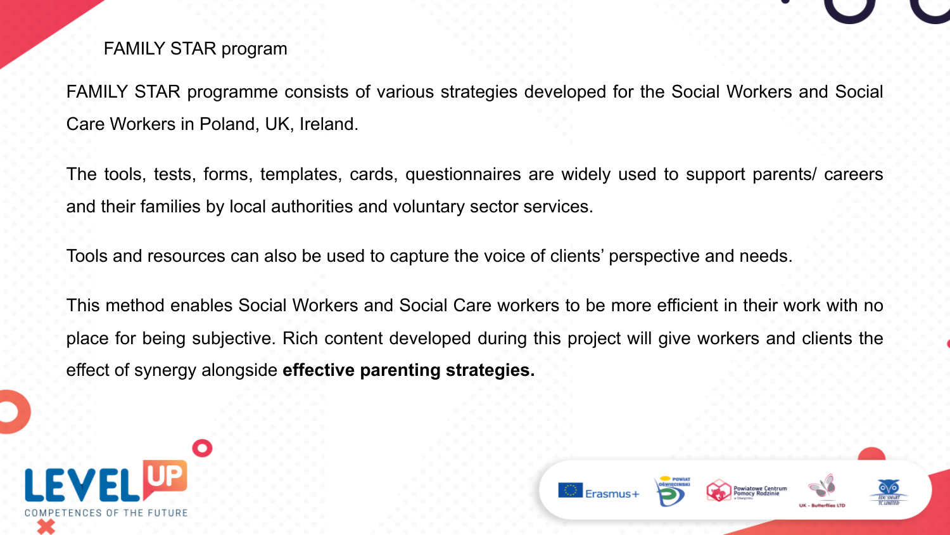#### FAMILY STAR program

FAMILY STAR programme consists of various strategies developed for the Social Workers and Social Care Workers in Poland, UK, Ireland.

The tools, tests, forms, templates, cards, questionnaires are widely used to support parents/ careers and their families by local authorities and voluntary sector services.

Tools and resources can also be used to capture the voice of clients' perspective and needs.

This method enables Social Workers and Social Care workers to be more efficient in their work with no place for being subjective. Rich content developed during this project will give workers and clients the effect of synergy alongside **effective parenting strategies.**



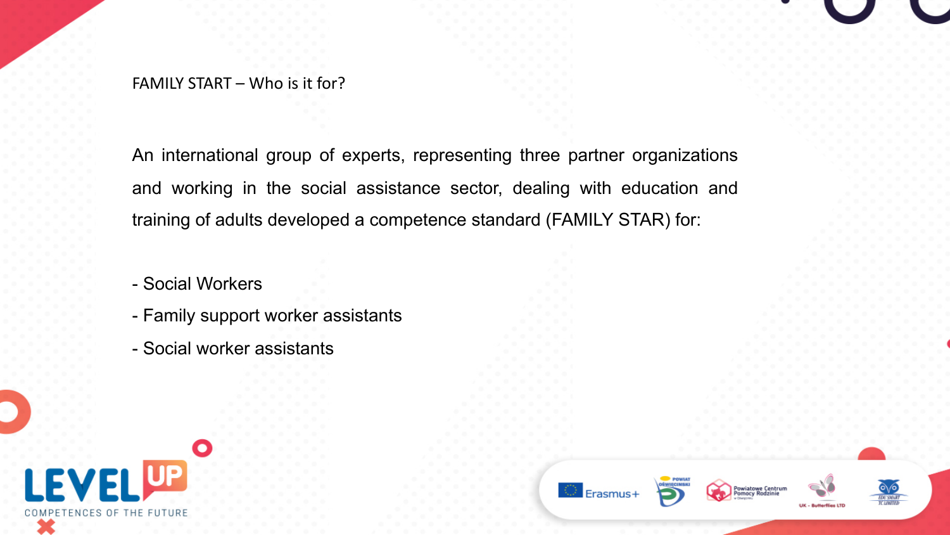FAMILY START – Who is it for?

An international group of experts, representing three partner organizations and working in the social assistance sector, dealing with education and training of adults developed a competence standard (FAMILY STAR) for:

 $\circledcirc$  Erasmus+

Powiatowe Centrum

- Social Workers
- Family support worker assistants
- Social worker assistants

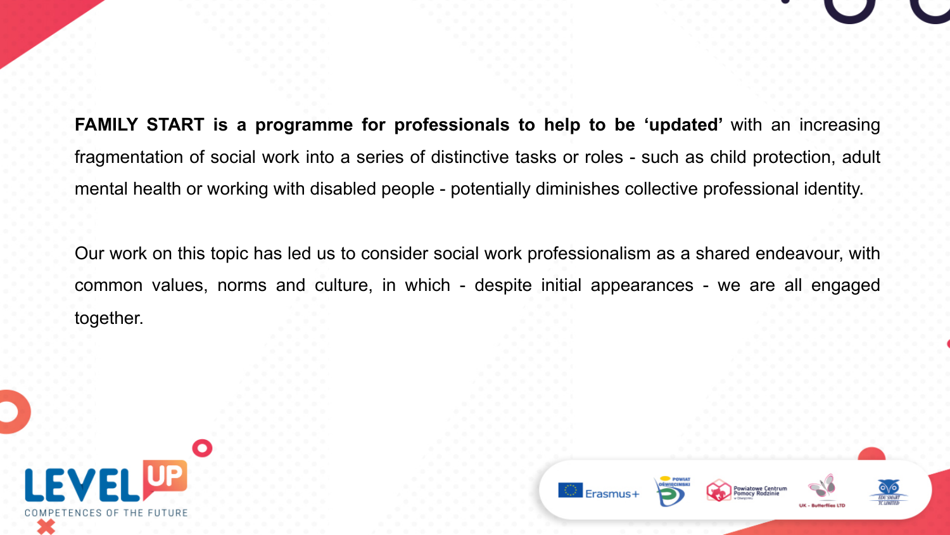## **FAMILY START is a programme for professionals to help to be 'updated'** with an increasing fragmentation of social work into a series of distinctive tasks or roles - such as child protection, adult mental health or working with disabled people - potentially diminishes collective professional identity.

Our work on this topic has led us to consider social work professionalism as a shared endeavour, with common values, norms and culture, in which - despite initial appearances - we are all engaged together.



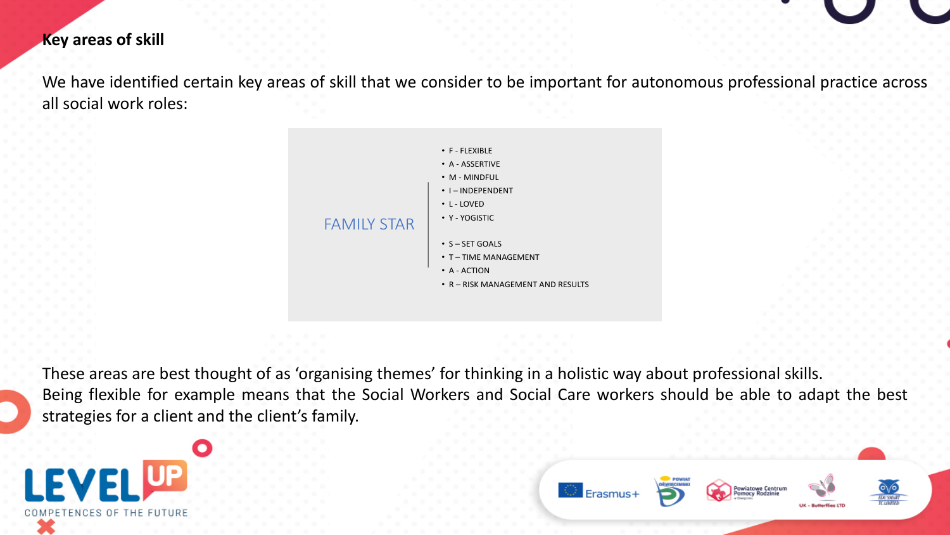#### **Key areas of skill**

We have identified certain key areas of skill that we consider to be important for autonomous professional practice across all social work roles:



These areas are best thought of as 'organising themes' for thinking in a holistic way about professional skills. Being flexible for example means that the Social Workers and Social Care workers should be able to adapt the best strategies for a client and the client's family.



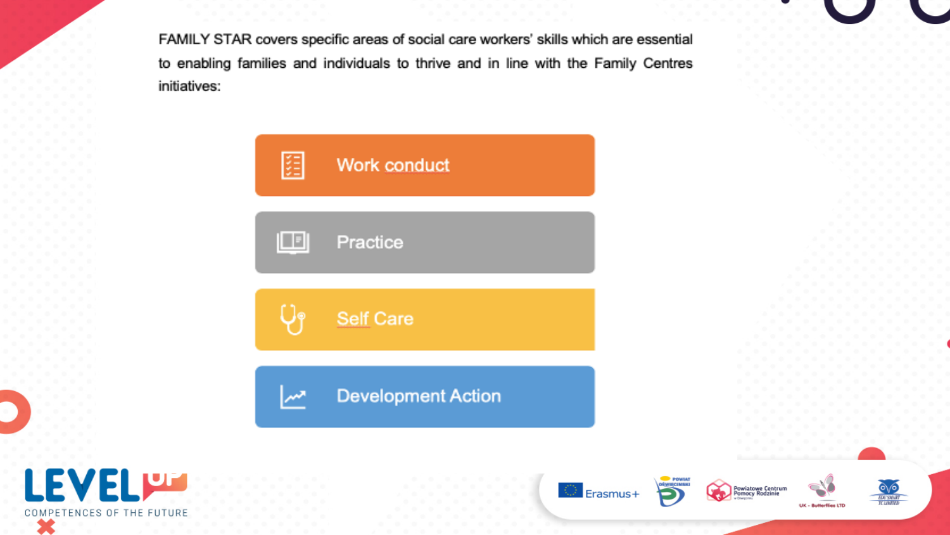FAMILY STAR covers specific areas of social care workers' skills which are essential to enabling families and individuals to thrive and in line with the Family Centres initiatives:



 $\circ$  Erasmus+

Powiatowe Centrum<br>Pomocy Rodzinie

**DU SMAR** 

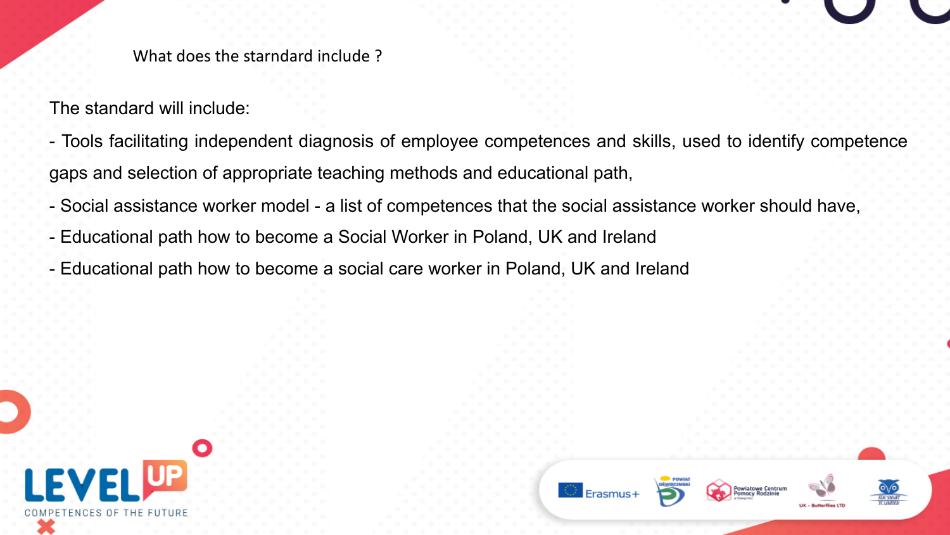

The standard will include:

- Tools facilitating independent diagnosis of employee competences and skills, used to identify competence gaps and selection of appropriate teaching methods and educational path,

C Erasmus

- Social assistance worker model a list of competences that the social assistance worker should have,
- Educational path how to become a Social Worker in Poland, UK and Ireland
- Educational path how to become a social care worker in Poland, UK and Ireland

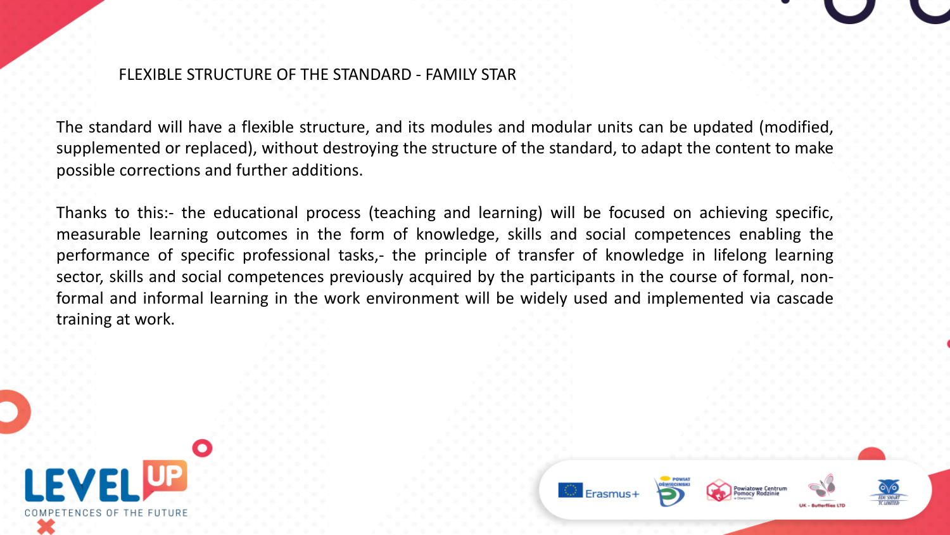#### FLEXIBLE STRUCTURE OF THE STANDARD - FAMILY STAR

The standard will have a flexible structure, and its modules and modular units can be updated (modified, supplemented or replaced), without destroying the structure of the standard, to adapt the content to make possible corrections and further additions.

Thanks to this:- the educational process (teaching and learning) will be focused on achieving specific, measurable learning outcomes in the form of knowledge, skills and social competences enabling the performance of specific professional tasks,- the principle of transfer of knowledge in lifelong learning sector, skills and social competences previously acquired by the participants in the course of formal, nonformal and informal learning in the work environment will be widely used and implemented via cascade training at work.



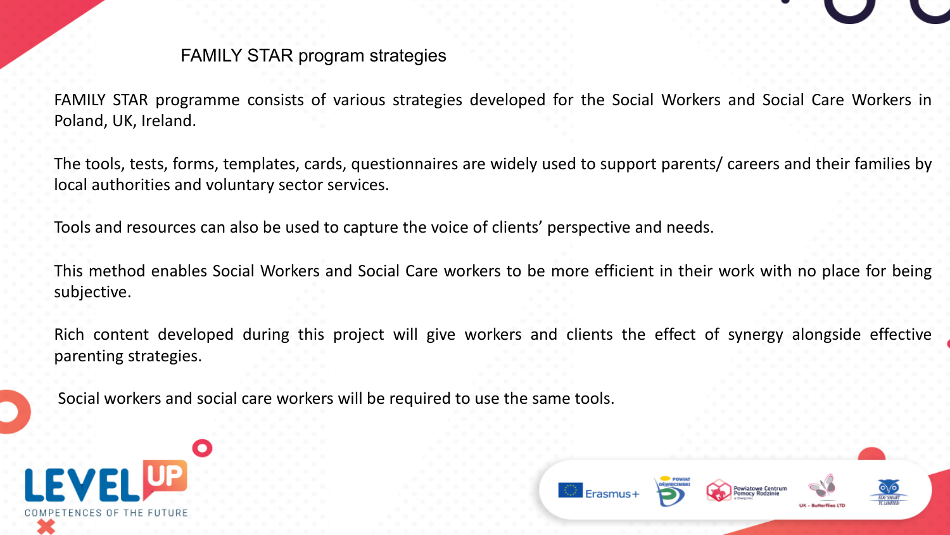#### FAMILY STAR program strategies

FAMILY STAR programme consists of various strategies developed for the Social Workers and Social Care Workers in Poland, UK, Ireland.

The tools, tests, forms, templates, cards, questionnaires are widely used to support parents/ careers and their families by local authorities and voluntary sector services.

Tools and resources can also be used to capture the voice of clients' perspective and needs.

This method enables Social Workers and Social Care workers to be more efficient in their work with no place for being subjective.

Rich content developed during this project will give workers and clients the effect of synergy alongside effective parenting strategies.

Social workers and social care workers will be required to use the same tools.



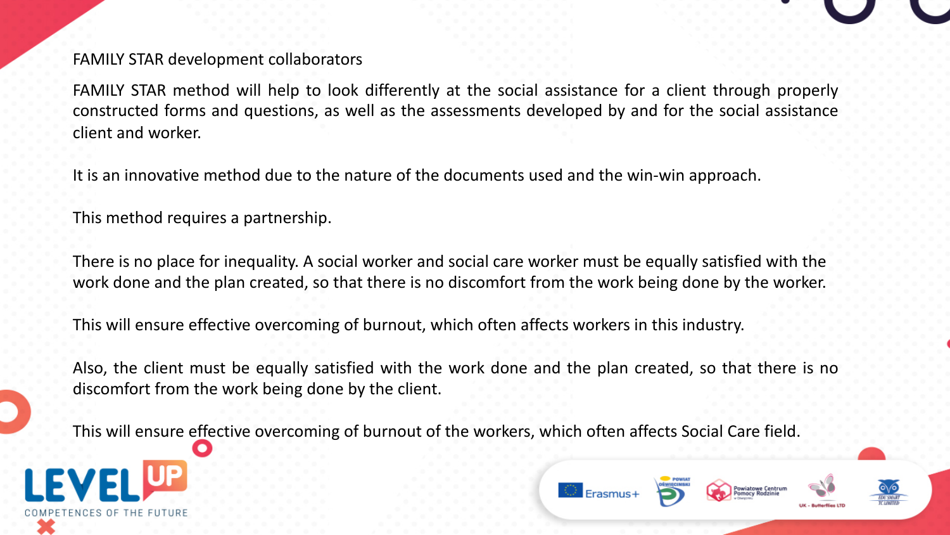FAMILY STAR development collaborators

FAMILY STAR method will help to look differently at the social assistance for a client through properly constructed forms and questions, as well as the assessments developed by and for the social assistance client and worker.

It is an innovative method due to the nature of the documents used and the win-win approach.

This method requires a partnership.

There is no place for inequality. A social worker and social care worker must be equally satisfied with the work done and the plan created, so that there is no discomfort from the work being done by the worker.

This will ensure effective overcoming of burnout, which often affects workers in this industry.

Also, the client must be equally satisfied with the work done and the plan created, so that there is no discomfort from the work being done by the client.

This will ensure effective overcoming of burnout of the workers, which often affects Social Care field.



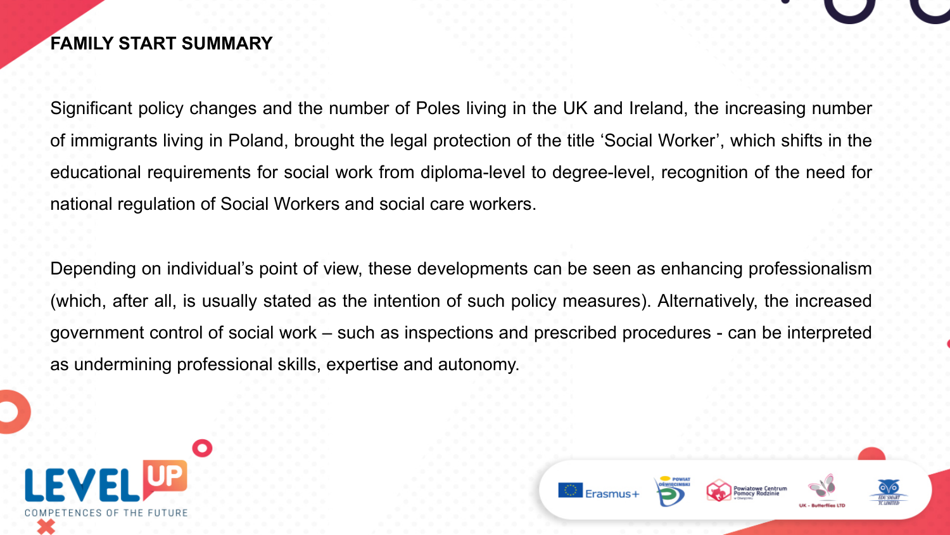### **FAMILY START SUMMARY**

Significant policy changes and the number of Poles living in the UK and Ireland, the increasing number of immigrants living in Poland, brought the legal protection of the title 'Social Worker', which shifts in the educational requirements for social work from diploma-level to degree-level, recognition of the need for national regulation of Social Workers and social care workers.

Depending on individual's point of view, these developments can be seen as enhancing professionalism (which, after all, is usually stated as the intention of such policy measures). Alternatively, the increased government control of social work – such as inspections and prescribed procedures - can be interpreted as undermining professional skills, expertise and autonomy.



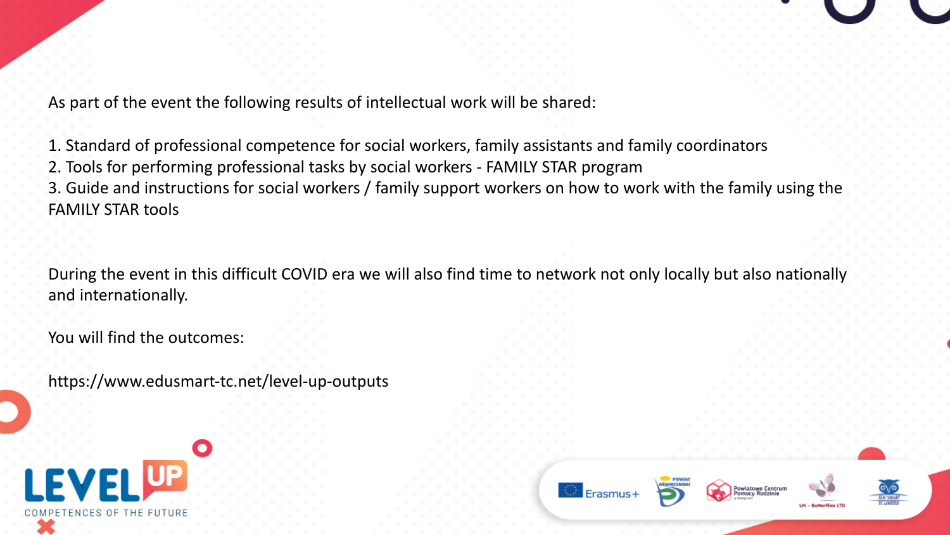

1. Standard of professional competence for social workers, family assistants and family coordinators 2. Tools for performing professional tasks by social workers - FAMILY STAR program 3. Guide and instructions for social workers / family support workers on how to work with the family using the FAMILY STAR tools

During the event in this difficult COVID era we will also find time to network not only locally but also nationally and internationally.

You will find the outcomes:

https://www.edusmart-tc.net/level-up-outputs